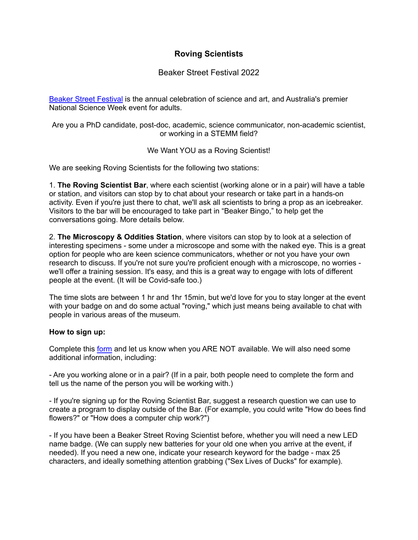## **Roving Scientists**

Beaker Street Festival 2022

Beaker Street [Festival](http://www.beakerstreet.com.au) is the annual celebration of science and art, and Australia's premier National Science Week event for adults.

Are you a PhD candidate, post-doc, academic, science communicator, non-academic scientist, or working in a STEMM field?

We Want YOU as a Roving Scientist!

We are seeking Roving Scientists for the following two stations:

1. **The Roving Scientist Bar**, where each scientist (working alone or in a pair) will have a table or station, and visitors can stop by to chat about your research or take part in a hands-on activity. Even if you're just there to chat, we'll ask all scientists to bring a prop as an icebreaker. Visitors to the bar will be encouraged to take part in "Beaker Bingo," to help get the conversations going. More details below.

2. **The Microscopy & Oddities Station**, where visitors can stop by to look at a selection of interesting specimens - some under a microscope and some with the naked eye. This is a great option for people who are keen science communicators, whether or not you have your own research to discuss. If you're not sure you're proficient enough with a microscope, no worries we'll offer a training session. It's easy, and this is a great way to engage with lots of different people at the event. (It will be Covid-safe too.)

The time slots are between 1 hr and 1hr 15min, but we'd love for you to stay longer at the event with your badge on and do some actual "roving," which just means being available to chat with people in various areas of the museum.

## **How to sign up:**

Complete this [form](https://airtable.com/shrAO9Zs46pJ1Eg1f) and let us know when you ARE NOT available. We will also need some additional information, including:

- Are you working alone or in a pair? (If in a pair, both people need to complete the form and tell us the name of the person you will be working with.)

- If you're signing up for the Roving Scientist Bar, suggest a research question we can use to create a program to display outside of the Bar. (For example, you could write "How do bees find flowers?" or "How does a computer chip work?")

- If you have been a Beaker Street Roving Scientist before, whether you will need a new LED name badge. (We can supply new batteries for your old one when you arrive at the event, if needed). If you need a new one, indicate your research keyword for the badge - max 25 characters, and ideally something attention grabbing ("Sex Lives of Ducks" for example).